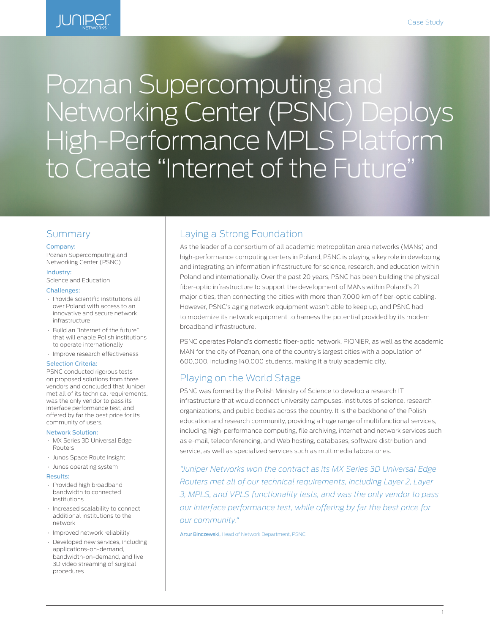

# Poznan Supercomputing and Networking Center (PSNC) Deploys High-Performance MPLS Platform to Create "Internet of the Future"

## **Summary**

#### Company:

Poznan Supercomputing and Networking Center (PSNC)

#### Industry:

Science and Education

#### Challenges:

- Provide scientific institutions all over Poland with access to an innovative and secure network infrastructure
- Build an "Internet of the future" that will enable Polish institutions to operate internationally
- Improve research effectiveness

#### Selection Criteria:

PSNC conducted rigorous tests on proposed solutions from three vendors and concluded that Juniper met all of its technical requirements, was the only vendor to pass its interface performance test, and offered by far the best price for its community of users.

#### Network Solution:

- MX Series 3D Universal Edge Routers
- Junos Space Route Insight
- Junos operating system

#### Results:

- Provided high broadband bandwidth to connected institutions
- Increased scalability to connect additional institutions to the network
- Improved network reliability
- Developed new services, including applications-on-demand, bandwidth-on-demand, and live 3D video streaming of surgical procedures

# Laying a Strong Foundation

As the leader of a consortium of all academic metropolitan area networks (MANs) and high-performance computing centers in Poland, PSNC is playing a key role in developing and integrating an information infrastructure for science, research, and education within Poland and internationally. Over the past 20 years, PSNC has been building the physical fiber-optic infrastructure to support the development of MANs within Poland's 21 major cities, then connecting the cities with more than 7,000 km of fiber-optic cabling. However, PSNC's aging network equipment wasn't able to keep up, and PSNC had to modernize its network equipment to harness the potential provided by its modern broadband infrastructure.

PSNC operates Poland's domestic fiber-optic network, PIONIER, as well as the academic MAN for the city of Poznan, one of the country's largest cities with a population of 600,000, including 140,000 students, making it a truly academic city.

## Playing on the World Stage

PSNC was formed by the Polish Ministry of Science to develop a research IT infrastructure that would connect university campuses, institutes of science, research organizations, and public bodies across the country. It is the backbone of the Polish education and research community, providing a huge range of multifunctional services, including high-performance computing, file archiving, internet and network services such as e-mail, teleconferencing, and Web hosting, databases, software distribution and service, as well as specialized services such as multimedia laboratories.

*"Juniper Networks won the contract as its MX Series 3D Universal Edge Routers met all of our technical requirements, including Layer 2, Layer 3, MPLS, and VPLS functionality tests, and was the only vendor to pass our interface performance test, while offering by far the best price for our community."* 

Artur Binczewski, Head of Network Department, PSNC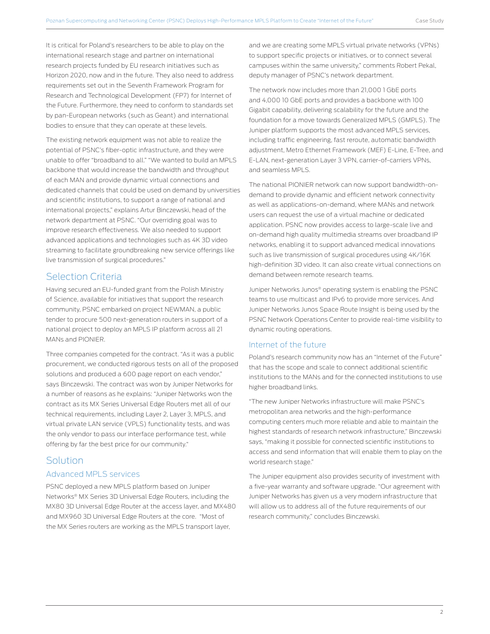It is critical for Poland's researchers to be able to play on the international research stage and partner on international research projects funded by EU research initiatives such as Horizon 2020, now and in the future. They also need to address requirements set out in the Seventh Framework Program for Research and Technological Development (FP7) for Internet of the Future. Furthermore, they need to conform to standards set by pan-European networks (such as Geant) and international bodies to ensure that they can operate at these levels.

The existing network equipment was not able to realize the potential of PSNC's fiber-optic infrastructure, and they were unable to offer "broadband to all." "We wanted to build an MPLS backbone that would increase the bandwidth and throughput of each MAN and provide dynamic virtual connections and dedicated channels that could be used on demand by universities and scientific institutions, to support a range of national and international projects," explains Artur Binczewski, head of the network department at PSNC. "Our overriding goal was to improve research effectiveness. We also needed to support advanced applications and technologies such as 4K 3D video streaming to facilitate groundbreaking new service offerings like live transmission of surgical procedures."

## Selection Criteria

Having secured an EU-funded grant from the Polish Ministry of Science, available for initiatives that support the research community, PSNC embarked on project NEWMAN, a public tender to procure 500 next-generation routers in support of a national project to deploy an MPLS IP platform across all 21 MANs and PIONIER.

Three companies competed for the contract. "As it was a public procurement, we conducted rigorous tests on all of the proposed solutions and produced a 600 page report on each vendor," says Binczewski. The contract was won by Juniper Networks for a number of reasons as he explains: "Juniper Networks won the contract as its MX Series Universal Edge Routers met all of our technical requirements, including Layer 2, Layer 3, MPLS, and virtual private LAN service (VPLS) functionality tests, and was the only vendor to pass our interface performance test, while offering by far the best price for our community."

# Solution

### Advanced MPLS services

PSNC deployed a new MPLS platform based on Juniper Networks® MX Series 3D Universal Edge Routers, including the MX80 3D Universal Edge Router at the access layer, and MX480 and MX960 3D Universal Edge Routers at the core. "Most of the MX Series routers are working as the MPLS transport layer,

and we are creating some MPLS virtual private networks (VPNs) to support specific projects or initiatives, or to connect several campuses within the same university," comments Robert Pekal, deputy manager of PSNC's network department.

The network now includes more than 21,000 1 GbE ports and 4,000 10 GbE ports and provides a backbone with 100 Gigabit capability, delivering scalability for the future and the foundation for a move towards Generalized MPLS (GMPLS). The Juniper platform supports the most advanced MPLS services, including traffic engineering, fast reroute, automatic bandwidth adjustment, Metro Ethernet Framework (MEF) E-Line, E-Tree, and E-LAN, next-generation Layer 3 VPN, carrier-of-carriers VPNs, and seamless MPLS.

The national PIONIER network can now support bandwidth-ondemand to provide dynamic and efficient network connectivity as well as applications-on-demand, where MANs and network users can request the use of a virtual machine or dedicated application. PSNC now provides access to large-scale live and on-demand high quality multimedia streams over broadband IP networks, enabling it to support advanced medical innovations such as live transmission of surgical procedures using 4K/16K high-definition 3D video. It can also create virtual connections on demand between remote research teams.

Juniper Networks Junos® operating system is enabling the PSNC teams to use multicast and IPv6 to provide more services. And Juniper Networks Junos Space Route Insight is being used by the PSNC Network Operations Center to provide real-time visibility to dynamic routing operations.

#### Internet of the future

Poland's research community now has an "Internet of the Future" that has the scope and scale to connect additional scientific institutions to the MANs and for the connected institutions to use higher broadband links.

"The new Juniper Networks infrastructure will make PSNC's metropolitan area networks and the high-performance computing centers much more reliable and able to maintain the highest standards of research network infrastructure," Binczewski says, "making it possible for connected scientific institutions to access and send information that will enable them to play on the world research stage."

The Juniper equipment also provides security of investment with a five-year warranty and software upgrade. "Our agreement with Juniper Networks has given us a very modern infrastructure that will allow us to address all of the future requirements of our research community," concludes Binczewski.